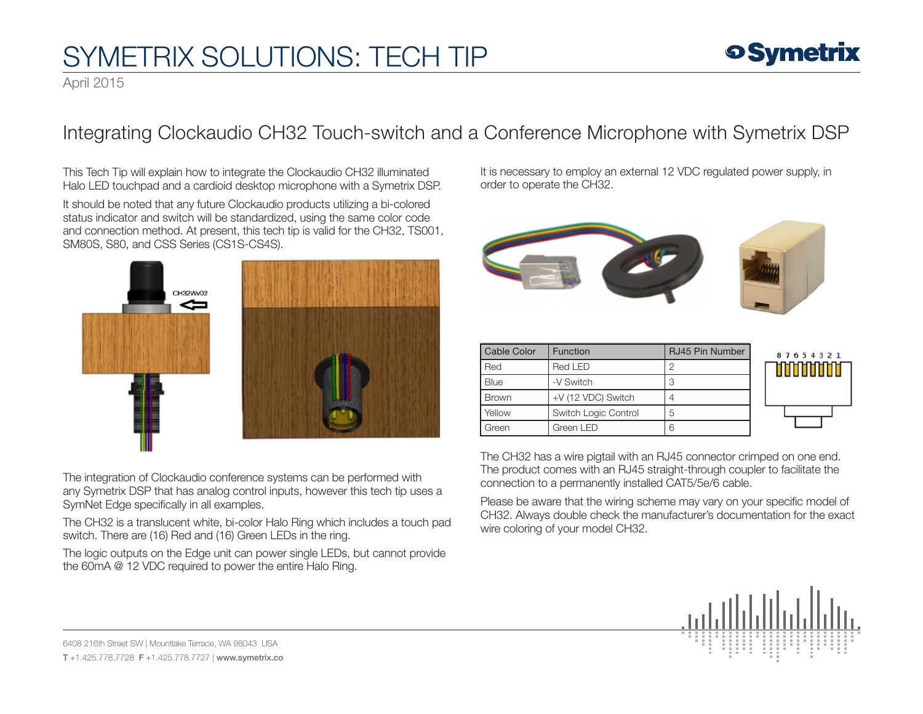# SYMETRIX SOLUTIONS: TECH TIP

### **9 Symetrix**

April 2015

#### Integrating Clockaudio CH32 Touch-switch and a Conference Microphone with Symetrix DSP

This Tech Tip will explain how to integrate the Clockaudio CH32 illuminated Halo LED touchpad and a cardioid desktop microphone with a Symetrix DSP.

It should be noted that any future Clockaudio products utilizing a bi-colored status indicator and switch will be standardized, using the same color code and connection method. At present, this tech tip is valid for the CH32, TS001, SM80S, S80, and CSS Series (CS1S-CS4S).





The integration of Clockaudio conference systems can be performed with any Symetrix DSP that has analog control inputs, however this tech tip uses a SymNet Edge specifically in all examples.

The CH32 is a translucent white, bi-color Halo Ring which includes a touch pad switch. There are (16) Red and (16) Green LEDs in the ring.

The logic outputs on the Edge unit can power single LEDs, but cannot provide the 60mA @ 12 VDC required to power the entire Halo Ring.

It is necessary to employ an external 12 VDC regulated power supply, in order to operate the CH32.



| Cable Color  | Function             | RJ45 Pin Number | 8 |
|--------------|----------------------|-----------------|---|
| Red          | Red LED              | ∩               |   |
| Blue         | -V Switch            | З               |   |
| <b>Brown</b> | +V (12 VDC) Switch   |                 |   |
| Yellow       | Switch Logic Control | 5               |   |
| Green        | Green LED            | ൳               |   |

| 87654321<br><b>HIIIIIIII</b> |
|------------------------------|
|                              |

The CH32 has a wire pigtail with an RJ45 connector crimped on one end. The product comes with an RJ45 straight-through coupler to facilitate the connection to a permanently installed CAT5/5e/6 cable.

Please be aware that the wiring scheme may vary on your specific model of CH32. Always double check the manufacturer's documentation for the exact wire coloring of your model CH32.



6408 216th Street SW | Mountlake Terrace, WA 98043 USA T +1.425.778.7728 F +1.425.778.7727 | www.symetrix.co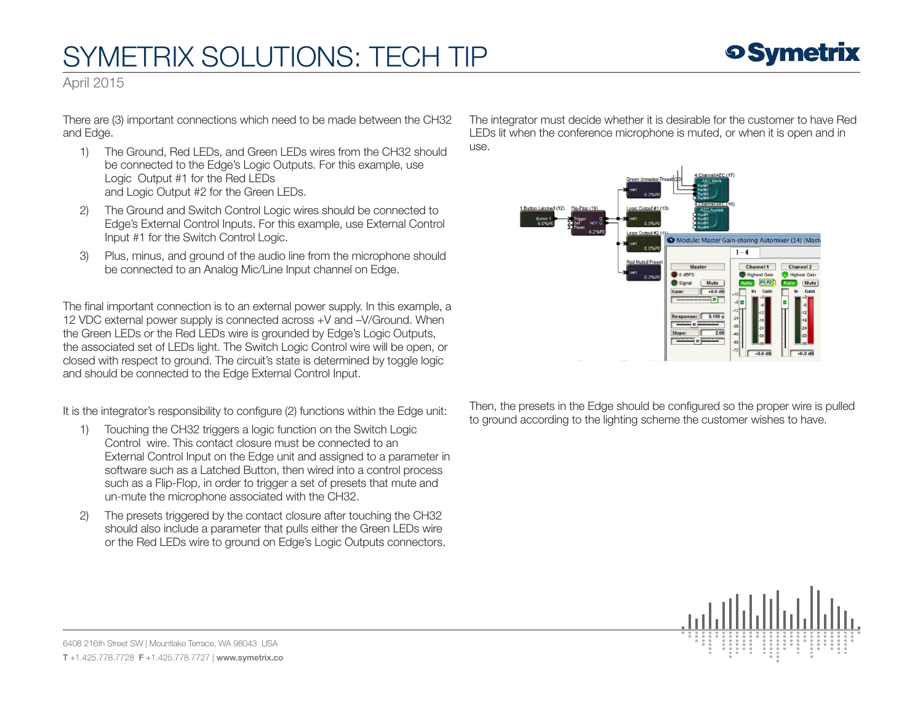## SYMETRIX SOLUTIONS: TECH TIP



April 2015

There are (3) important connections which need to be made between the CH32 and Edge.

- 1) The Ground, Red LEDs, and Green LEDs wires from the CH32 should be connected to the Edge's Logic Outputs. For this example, use Logic Output #1 for the Red LEDs and Logic Output #2 for the Green LEDs.
- 2) The Ground and Switch Control Logic wires should be connected to Edge's External Control Inputs. For this example, use External Control Input #1 for the Switch Control Logic.
- 3) Plus, minus, and ground of the audio line from the microphone should be connected to an Analog Mic/Line Input channel on Edge.

The final important connection is to an external power supply. In this example, a 12 VDC external power supply is connected across +V and –V/Ground. When the Green LEDs or the Red LEDs wire is grounded by Edge's Logic Outputs, the associated set of LEDs light. The Switch Logic Control wire will be open, or closed with respect to ground. The circuit's state is determined by toggle logic and should be connected to the Edge External Control Input.

It is the integrator's responsibility to configure (2) functions within the Edge unit:

- 1) Touching the CH32 triggers a logic function on the Switch Logic Control wire. This contact closure must be connected to an External Control Input on the Edge unit and assigned to a parameter in software such as a Latched Button, then wired into a control process such as a Flip-Flop, in order to trigger a set of presets that mute and un-mute the microphone associated with the CH32.
- 2) The presets triggered by the contact closure after touching the CH32 should also include a parameter that pulls either the Green LEDs wire or the Red LEDs wire to ground on Edge's Logic Outputs connectors.

The integrator must decide whether it is desirable for the customer to have Red LEDs lit when the conference microphone is muted, or when it is open and in use.



Then, the presets in the Edge should be configured so the proper wire is pulled to ground according to the lighting scheme the customer wishes to have.



6408 216th Street SW | Mountlake Terrace, WA 98043 USA T +1.425.778.7728 F +1.425.778.7727 | www.symetrix.co